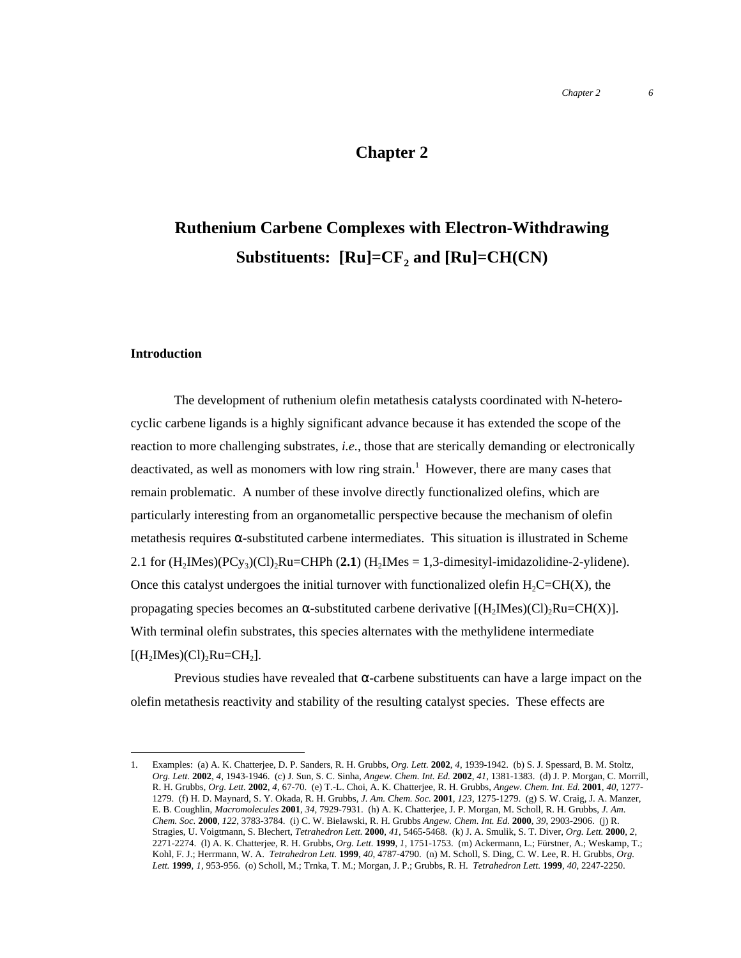## **Chapter 2**

# **Ruthenium Carbene Complexes with Electron-Withdrawing Substituents:**  $\text{[Ru]} = \text{CF}_2$  and  $\text{[Ru]} = \text{CH(CN)}$

#### **Introduction**

The development of ruthenium olefin metathesis catalysts coordinated with N-heterocyclic carbene ligands is a highly significant advance because it has extended the scope of the reaction to more challenging substrates, *i.e.*, those that are sterically demanding or electronically deactivated, as well as monomers with low ring strain.<sup>1</sup> However, there are many cases that remain problematic. A number of these involve directly functionalized olefins, which are particularly interesting from an organometallic perspective because the mechanism of olefin metathesis requires  $\alpha$ -substituted carbene intermediates. This situation is illustrated in Scheme 2.1 for  $(H_2IMes)(PCy_3)(Cl)_2Ru=CHPh (2.1) (H_2IMes = 1,3-dimensionalizing the 2-ylidene).$ Once this catalyst undergoes the initial turnover with functionalized olefin  $H_2C=CH(X)$ , the propagating species becomes an  $\alpha$ -substituted carbene derivative  $[(H_2Mes)(Cl)_2Ru=CH(X)].$ With terminal olefin substrates, this species alternates with the methylidene intermediate  $[(H_2Mes)(Cl)_2Ru=CH_2].$ 

Previous studies have revealed that  $\alpha$ -carbene substituents can have a large impact on the olefin metathesis reactivity and stability of the resulting catalyst species. These effects are

 <sup>1.</sup> Examples: (a) A. K. Chatterjee, D. P. Sanders, R. H. Grubbs, *Org. Lett.* **<sup>2002</sup>**, *4*, 1939-1942. (b) S. J. Spessard, B. M. Stoltz, *Org. Lett.* **2002**, *4*, 1943-1946. (c) J. Sun, S. C. Sinha, *Angew. Chem. Int. Ed.* **2002**, *41*, 1381-1383. (d) J. P. Morgan, C. Morrill, R. H. Grubbs, *Org. Lett.* **2002**, *4*, 67-70. (e) T.-L. Choi, A. K. Chatterjee, R. H. Grubbs, *Angew. Chem. Int. Ed.* **2001**, *40*, 1277- 1279. (f) H. D. Maynard, S. Y. Okada, R. H. Grubbs, *J. Am. Chem. Soc.* **2001**, *123*, 1275-1279. (g) S. W. Craig, J. A. Manzer, E. B. Coughlin, *Macromolecules* **2001**, *34*, 7929-7931. (h) A. K. Chatterjee, J. P. Morgan, M. Scholl, R. H. Grubbs, *J. Am. Chem. Soc.* **2000**, *122*, 3783-3784. (i) C. W. Bielawski, R. H. Grubbs *Angew. Chem. Int. Ed.* **2000**, *39*, 2903-2906. (j) R. Stragies, U. Voigtmann, S. Blechert, *Tetrahedron Lett.* **2000**, *41*, 5465-5468. (k) J. A. Smulik, S. T. Diver, *Org. Lett.* **2000**, *2*, 2271-2274. (l) A. K. Chatterjee, R. H. Grubbs, *Org. Lett.* **1999**, *1*, 1751-1753. (m) Ackermann, L.; Fürstner, A.; Weskamp, T.; Kohl, F. J.; Herrmann, W. A. *Tetrahedron Lett.* **1999**, *40*, 4787-4790. (n) M. Scholl, S. Ding, C. W. Lee, R. H. Grubbs, *Org. Lett.* **1999**, *1*, 953-956. (o) Scholl, M.; Trnka, T. M.; Morgan, J. P.; Grubbs, R. H. *Tetrahedron Lett.* **1999**, *40*, 2247-2250.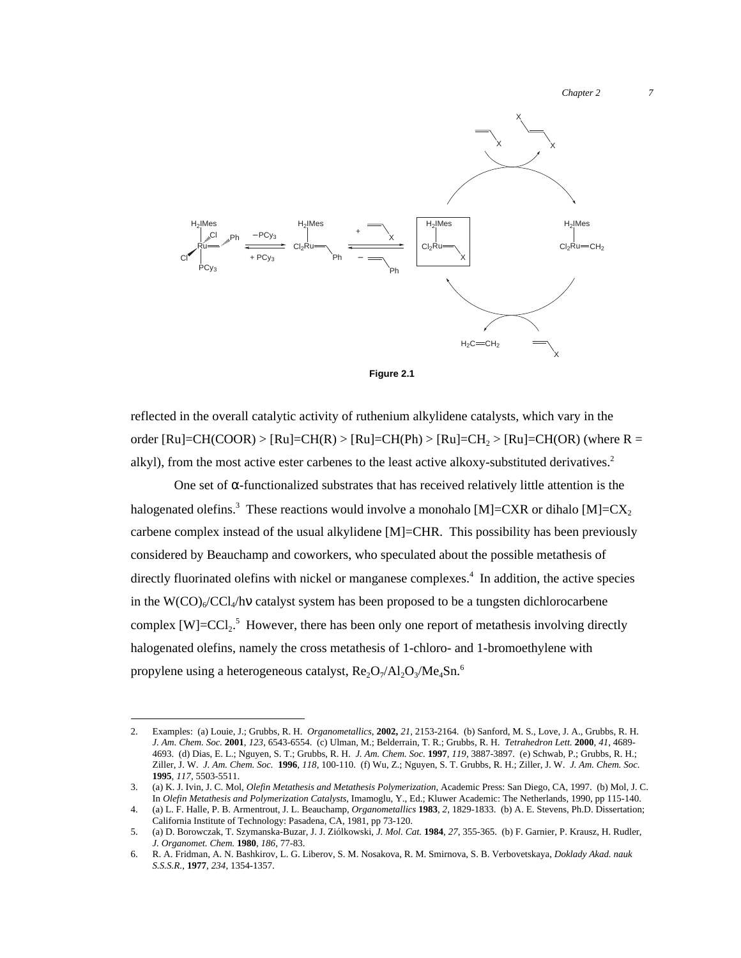*Chapter 2 7*





reflected in the overall catalytic activity of ruthenium alkylidene catalysts, which vary in the order [Ru]=CH(COOR) > [Ru]=CH(R) > [Ru]=CH(Ph) > [Ru]=CH<sub>2</sub> > [Ru]=CH(OR) (where R = alkyl), from the most active ester carbenes to the least active alkoxy-substituted derivatives.<sup>2</sup>

One set of  $\alpha$ -functionalized substrates that has received relatively little attention is the halogenated olefins.<sup>3</sup> These reactions would involve a monohalo [M]=CXR or dihalo [M]=CX<sub>2</sub> carbene complex instead of the usual alkylidene [M]=CHR. This possibility has been previously considered by Beauchamp and coworkers, who speculated about the possible metathesis of directly fluorinated olefins with nickel or manganese complexes.<sup>4</sup> In addition, the active species in the  $W(CO)_{6}/CCl_{4}/h\nu$  catalyst system has been proposed to be a tungsten dichlorocarbene complex  $[W] = CCl_2$ <sup>5</sup> However, there has been only one report of metathesis involving directly halogenated olefins, namely the cross metathesis of 1-chloro- and 1-bromoethylene with propylene using a heterogeneous catalyst,  $\text{Re}_2\text{O}_7/\text{Al}_2\text{O}_3/\text{Me}_4\text{Sn}$ .<sup>6</sup>

 <sup>2.</sup> Examples: (a) Louie, J.; Grubbs, R. H. *Organometallics*, **2002,** *21*, 2153-2164. (b) Sanford, M. S., Love, J. A., Grubbs, R. H. *J. Am. Chem. Soc.* **2001**, *123*, 6543-6554. (c) Ulman, M.; Belderrain, T. R.; Grubbs, R. H. *Tetrahedron Lett.* **2000**, *41*, 4689- 4693. (d) Dias, E. L.; Nguyen, S. T.; Grubbs, R. H. *J. Am. Chem. Soc.* **1997**, *119*, 3887-3897. (e) Schwab, P.; Grubbs, R. H.; Ziller, J. W. *J. Am. Chem. Soc.* **1996**, *118*, 100-110. (f) Wu, Z.; Nguyen, S. T. Grubbs, R. H.; Ziller, J. W. *J. Am. Chem. Soc.* **1995**, *117*, 5503-5511.

<sup>3.</sup> (a) K. J. Ivin, J. C. Mol, *Olefin Metathesis and Metathesis Polymerization*, Academic Press: San Diego, CA, 1997. (b) Mol, J. C. In *Olefin Metathesis and Polymerization Catalysts*, Imamoglu, Y., Ed.; Kluwer Academic: The Netherlands, 1990, pp 115-140.

<sup>4.</sup> (a) L. F. Halle, P. B. Armentrout, J. L. Beauchamp, *Organometallics* **1983**, *2*, 1829-1833. (b) A. E. Stevens, Ph.D. Dissertation; California Institute of Technology: Pasadena, CA, 1981, pp 73-120.

<sup>5.</sup> (a) D. Borowczak, T. Szymanska-Buzar, J. J. Ziólkowski, *J. Mol. Cat.* **1984**, *27*, 355-365. (b) F. Garnier, P. Krausz, H. Rudler, *J. Organomet. Chem.* **1980**, *186*, 77-83.

<sup>6.</sup> R. A. Fridman, A. N. Bashkirov, L. G. Liberov, S. M. Nosakova, R. M. Smirnova, S. B. Verbovetskaya, *Doklady Akad. nauk S.S.S.R.*, **1977**, *234*, 1354-1357.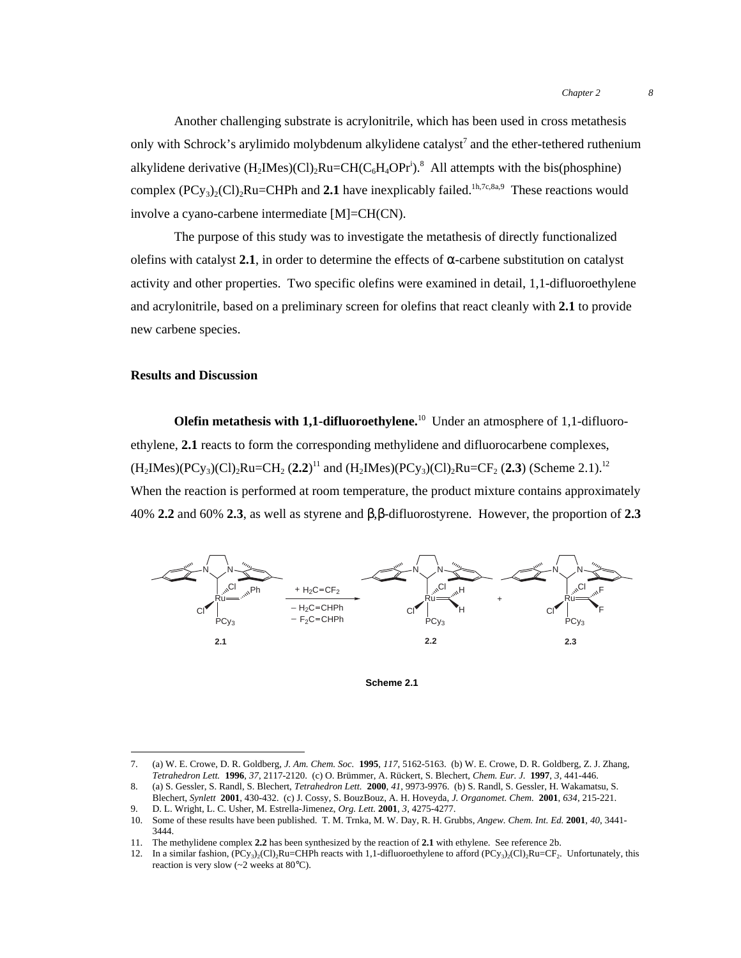Another challenging substrate is acrylonitrile, which has been used in cross metathesis only with Schrock's arylimido molybdenum alkylidene catalyst<sup>7</sup> and the ether-tethered ruthenium alkylidene derivative  $(H_2Mes)(Cl)_2Ru=CH(C_6H_4OPr^i).$ <sup>8</sup> All attempts with the bis(phosphine) complex  $(PCy_3)_{2}(Cl)_{2}Ru=CHPh$  and 2.1 have inexplicably failed.<sup>1h,7c,8a,9</sup> These reactions would involve a cyano-carbene intermediate [M]=CH(CN).

The purpose of this study was to investigate the metathesis of directly functionalized olefins with catalyst  $2.1$ , in order to determine the effects of  $\alpha$ -carbene substitution on catalyst activity and other properties. Two specific olefins were examined in detail, 1,1-difluoroethylene and acrylonitrile, based on a preliminary screen for olefins that react cleanly with **2.1** to provide new carbene species.

### **Results and Discussion**

**Olefin metathesis with 1,1-difluoroethylene.**10 Under an atmosphere of 1,1-difluoroethylene, **2.1** reacts to form the corresponding methylidene and difluorocarbene complexes,  $(H_2Mes)(PCy_3)(Cl)_2Ru=CH_2 (2.2)^{11}$  and  $(H_2Mes)(PCy_3)(Cl)_2Ru=CF_2 (2.3)$  (Scheme 2.1).<sup>12</sup> When the reaction is performed at room temperature, the product mixture contains approximately 40% **2.2** and 60% **2.3**, as well as styrene and β,β-difluorostyrene. However, the proportion of **2.3**



**Scheme 2.1**

 <sup>7.</sup> (a) W. E. Crowe, D. R. Goldberg, *J. Am. Chem. Soc.* **<sup>1995</sup>**, *117*, 5162-5163. (b) W. E. Crowe, D. R. Goldberg, Z. J. Zhang, *Tetrahedron Lett.* **1996**, *37*, 2117-2120. (c) O. Brümmer, A. Rückert, S. Blechert, *Chem. Eur. J.* **1997**, *3*, 441-446.

<sup>8.</sup> (a) S. Gessler, S. Randl, S. Blechert, *Tetrahedron Lett.* **2000**, *41*, 9973-9976. (b) S. Randl, S. Gessler, H. Wakamatsu, S. Blechert, *Synlett* **2001**, 430-432. (c) J. Cossy, S. BouzBouz, A. H. Hoveyda, *J. Organomet. Chem.* **2001**, *634*, 215-221.

<sup>9.</sup> D. L. Wright, L. C. Usher, M. Estrella-Jimenez, *Org. Lett.* **2001**, *3*, 4275-4277.

<sup>10.</sup> Some of these results have been published. T. M. Trnka, M. W. Day, R. H. Grubbs, *Angew. Chem. Int. Ed.* **2001**, *40*, 3441- 3444.

<sup>11.</sup> The methylidene complex **2.2** has been synthesized by the reaction of **2.1** with ethylene. See reference 2b.

<sup>12.</sup> In a similar fashion,  $(PCy_3)_2(Cl)_2Ru=CHPh$  reacts with 1,1-difluoroethylene to afford  $(PCy_3)_2(Cl)_2Ru=CF_2$ . Unfortunately, this reaction is very slow (~2 weeks at 80°C).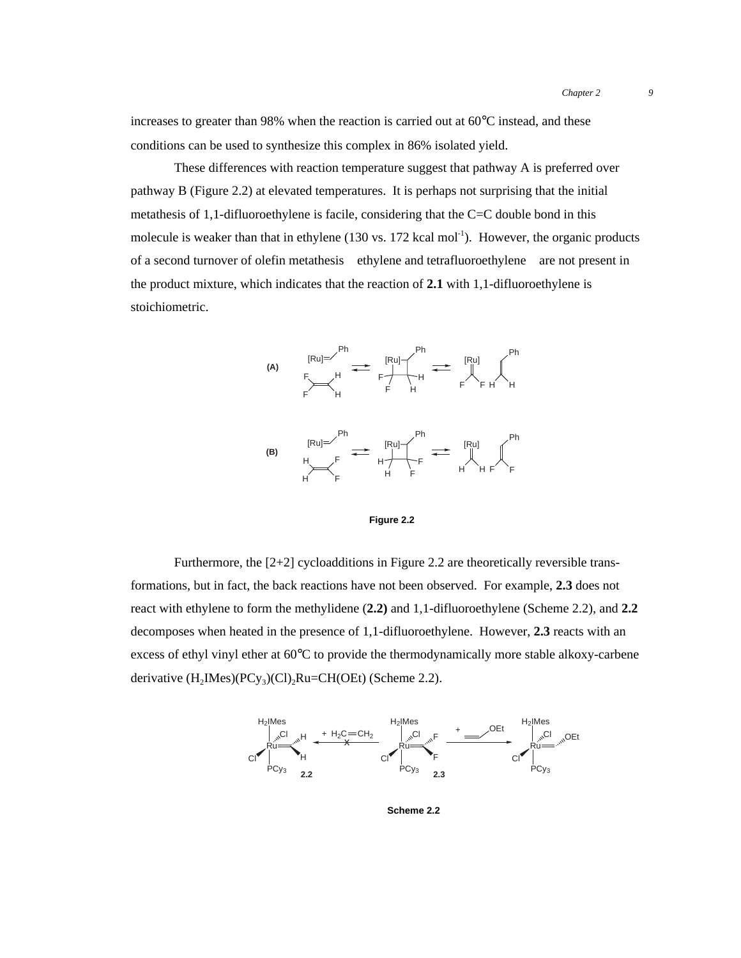increases to greater than 98% when the reaction is carried out at  $60^{\circ}$ C instead, and these conditions can be used to synthesize this complex in 86% isolated yield.

These differences with reaction temperature suggest that pathway A is preferred over pathway B (Figure 2.2) at elevated temperatures. It is perhaps not surprising that the initial metathesis of 1,1-difluoroethylene is facile, considering that the C=C double bond in this molecule is weaker than that in ethylene  $(130 \text{ vs. } 172 \text{ kcal mol}^{-1})$ . However, the organic products of a second turnover of olefin metathesis—ethylene and tetrafluoroethylene—are not present in the product mixture, which indicates that the reaction of **2.1** with 1,1-difluoroethylene is stoichiometric.



**Figure 2.2**

Furthermore, the  $[2+2]$  cycloadditions in Figure 2.2 are theoretically reversible transformations, but in fact, the back reactions have not been observed. For example, **2.3** does not react with ethylene to form the methylidene (**2.2)** and 1,1-difluoroethylene (Scheme 2.2), and **2.2** decomposes when heated in the presence of 1,1-difluoroethylene. However, **2.3** reacts with an excess of ethyl vinyl ether at 60°C to provide the thermodynamically more stable alkoxy-carbene derivative  $(H_2Mes)(PCy_3)(Cl)_2Ru=CH(OEt)$  (Scheme 2.2).



**Scheme 2.2**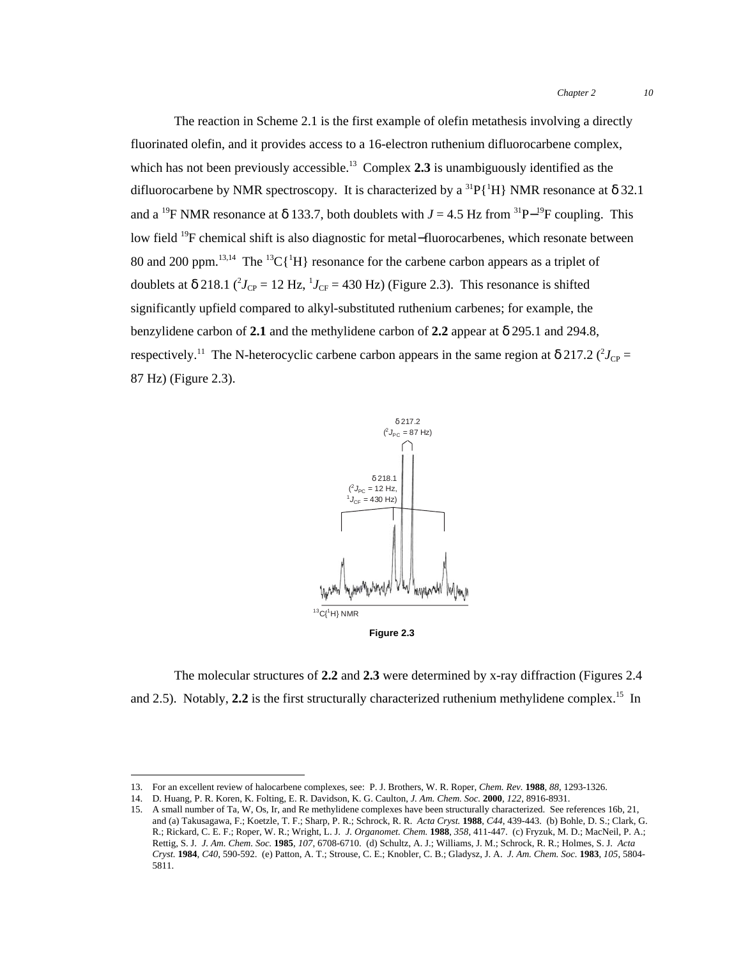The reaction in Scheme 2.1 is the first example of olefin metathesis involving a directly fluorinated olefin, and it provides access to a 16-electron ruthenium difluorocarbene complex, which has not been previously accessible.<sup>13</sup> Complex 2.3 is unambiguously identified as the difluorocarbene by NMR spectroscopy. It is characterized by a  ${}^{31}P[{^1}H]$  NMR resonance at  $\delta$  32.1 and a <sup>19</sup>F NMR resonance at  $\delta$  133.7, both doublets with *J* = 4.5 Hz from <sup>31</sup>P<sup>-19</sup>F coupling. This low field 19F chemical shift is also diagnostic for metal−fluorocarbenes, which resonate between 80 and 200 ppm.<sup>13,14</sup> The <sup>13</sup>C{<sup>1</sup>H} resonance for the carbene carbon appears as a triplet of doublets at  $\delta$  218.1 ( $^2J_{CP}$  = 12 Hz,  $^1J_{CF}$  = 430 Hz) (Figure 2.3). This resonance is shifted significantly upfield compared to alkyl-substituted ruthenium carbenes; for example, the benzylidene carbon of **2.1** and the methylidene carbon of **2.2** appear at δ 295.1 and 294.8, respectively.<sup>11</sup> The N-heterocyclic carbene carbon appears in the same region at  $\delta 217.2$  ( $\delta J_{CP}$ ) 87 Hz) (Figure 2.3).



The molecular structures of **2.2** and **2.3** were determined by x-ray diffraction (Figures 2.4 and 2.5). Notably, 2.2 is the first structurally characterized ruthenium methylidene complex.<sup>15</sup> In

 <sup>13.</sup> For an excellent review of halocarbene complexes, see: P. J. Brothers, W. R. Roper, *Chem. Rev.* **1988**, *88*, 1293-1326.

<sup>14.</sup> D. Huang, P. R. Koren, K. Folting, E. R. Davidson, K. G. Caulton, *J. Am. Chem. Soc.* **2000**, *122*, 8916-8931.

<sup>15.</sup> A small number of Ta, W, Os, Ir, and Re methylidene complexes have been structurally characterized. See references 16b, 21, and (a) Takusagawa, F.; Koetzle, T. F.; Sharp, P. R.; Schrock, R. R. *Acta Cryst.* **1988**, *C44*, 439-443. (b) Bohle, D. S.; Clark, G. R.; Rickard, C. E. F.; Roper, W. R.; Wright, L. J. *J. Organomet. Chem.* **1988**, *358*, 411-447. (c) Fryzuk, M. D.; MacNeil, P. A.; Rettig, S. J. *J. Am. Chem. Soc.* **1985**, *107*, 6708-6710. (d) Schultz, A. J.; Williams, J. M.; Schrock, R. R.; Holmes, S. J. *Acta Cryst.* **1984**, *C40*, 590-592. (e) Patton, A. T.; Strouse, C. E.; Knobler, C. B.; Gladysz, J. A. *J. Am. Chem. Soc.* **1983**, *105*, 5804- 5811.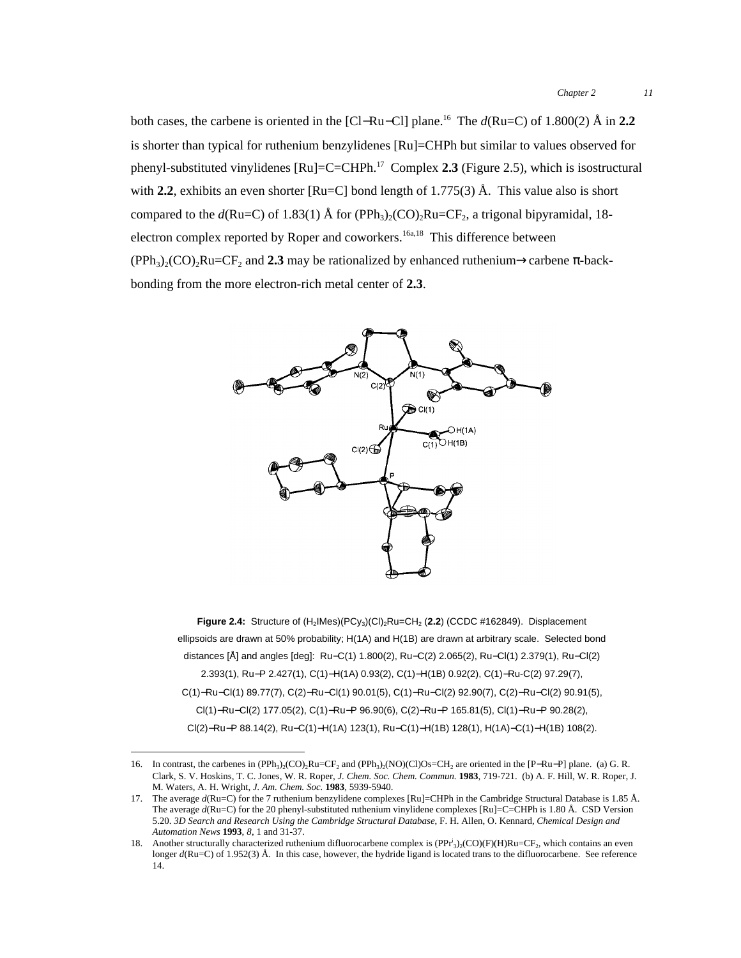both cases, the carbene is oriented in the [Cl−Ru−Cl] plane.16 The *d*(Ru=C) of 1.800(2) Å in **2.2** is shorter than typical for ruthenium benzylidenes [Ru]=CHPh but similar to values observed for phenyl-substituted vinylidenes [Ru]=C=CHPh.17 Complex **2.3** (Figure 2.5), which is isostructural with **2.2**, exhibits an even shorter  $\text{[Ru=Cl]}$  bond length of 1.775(3)  $\text{\AA}$ . This value also is short compared to the  $d(Ru=C)$  of 1.83(1) Å for (PPh<sub>3</sub>)<sub>2</sub>(CO)<sub>2</sub>Ru=CF<sub>2</sub>, a trigonal bipyramidal, 18electron complex reported by Roper and coworkers.<sup>16a,18</sup> This difference between  $(PPh<sub>3</sub>)(CO)$ <sub>2</sub>Ru=CF<sub>2</sub> and **2.3** may be rationalized by enhanced ruthenium→carbene  $\pi$ -backbonding from the more electron-rich metal center of **2.3**.



**Figure 2.4:** Structure of (H<sub>2</sub>IMes)(PCy<sub>3</sub>)(CI)<sub>2</sub>Ru=CH<sub>2</sub> (2.2) (CCDC #162849). Displacement ellipsoids are drawn at 50% probability; H(1A) and H(1B) are drawn at arbitrary scale. Selected bond distances [Å] and angles [deg]: Ru−C(1) 1.800(2), Ru−C(2) 2.065(2), Ru−Cl(1) 2.379(1), Ru−Cl(2) 2.393(1), Ru−P 2.427(1), C(1)−H(1A) 0.93(2), C(1)−H(1B) 0.92(2), C(1)−Ru-C(2) 97.29(7), C(1)−Ru−Cl(1) 89.77(7), C(2)−Ru−Cl(1) 90.01(5), C(1)−Ru−Cl(2) 92.90(7), C(2)−Ru−Cl(2) 90.91(5), Cl(1)−Ru−Cl(2) 177.05(2), C(1)−Ru−P 96.90(6), C(2)−Ru−P 165.81(5), Cl(1)−Ru−P 90.28(2), Cl(2)−Ru−P 88.14(2), Ru−C(1)−H(1A) 123(1), Ru−C(1)−H(1B) 128(1), H(1A)−C(1)−H(1B) 108(2).

<sup>16.</sup> In contrast, the carbenes in  $(PPh<sub>3</sub>)<sub>2</sub>(CO)<sub>2</sub>Ru=CF<sub>2</sub>$  and  $(PPh<sub>3</sub>)<sub>2</sub>(NO)(Cl)Os=CH<sub>2</sub>$  are oriented in the [P–Ru–P] plane. (a) G. R. Clark, S. V. Hoskins, T. C. Jones, W. R. Roper, *J. Chem. Soc. Chem. Commun.* **1983**, 719-721. (b) A. F. Hill, W. R. Roper, J. M. Waters, A. H. Wright, *J. Am. Chem. Soc.* **1983**, 5939-5940.

<sup>17.</sup> The average  $d(Ru=C)$  for the 7 ruthenium benzylidene complexes [Ru]=CHPh in the Cambridge Structural Database is 1.85 Å. The average  $d(Ru=C)$  for the 20 phenyl-substituted ruthenium vinylidene complexes [Ru]=C=CHPh is 1.80 Å. CSD Version 5.20. *3D Search and Research Using the Cambridge Structural Database*, F. H. Allen, O. Kennard, *Chemical Design and Automation News* **1993**, *8*, 1 and 31-37.

<sup>18.</sup> Another structurally characterized ruthenium difluorocarbene complex is  $(PPr<sup>i</sup>_{3})_2(CO)(F)(H)Ru=CF_2$ , which contains an even longer *d*(Ru=C) of 1.952(3) Å. In this case, however, the hydride ligand is located trans to the difluorocarbene. See reference 14.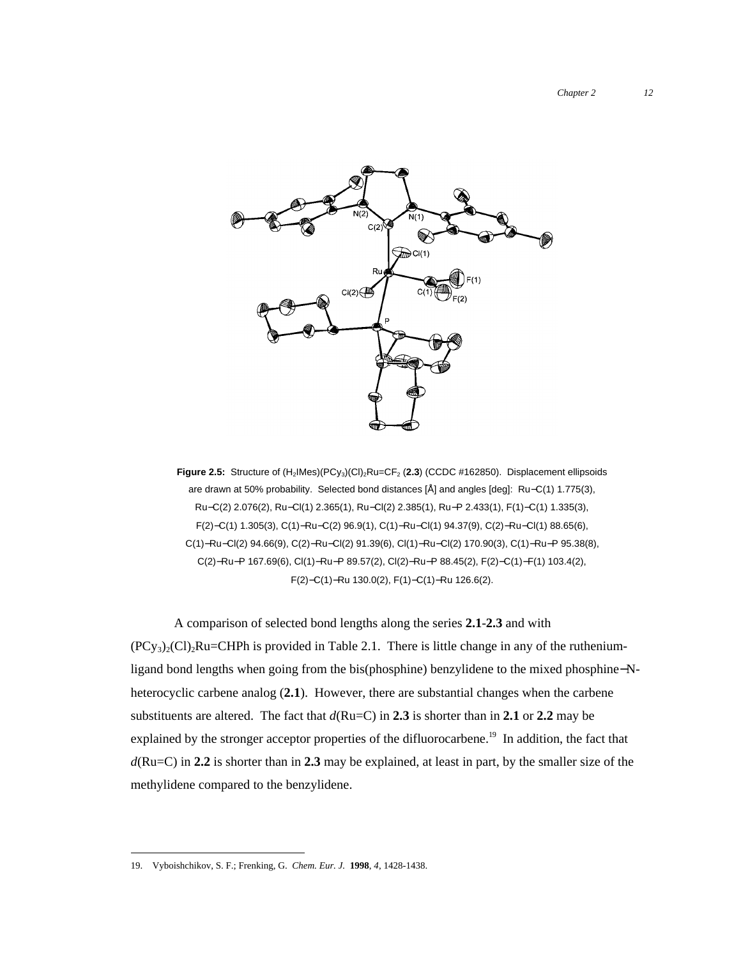

Figure 2.5: Structure of (H<sub>2</sub>IMes)(PCy<sub>3</sub>)(CI)<sub>2</sub>Ru=CF<sub>2</sub> (2.3) (CCDC #162850). Displacement ellipsoids are drawn at 50% probability. Selected bond distances [Å] and angles [deg]: Ru−C(1) 1.775(3), Ru−C(2) 2.076(2), Ru−Cl(1) 2.365(1), Ru−Cl(2) 2.385(1), Ru−P 2.433(1), F(1)−C(1) 1.335(3), F(2)−C(1) 1.305(3), C(1)−Ru−C(2) 96.9(1), C(1)−Ru−Cl(1) 94.37(9), C(2)−Ru−Cl(1) 88.65(6), C(1)−Ru−Cl(2) 94.66(9), C(2)−Ru−Cl(2) 91.39(6), Cl(1)−Ru−Cl(2) 170.90(3), C(1)−Ru−P 95.38(8), C(2)−Ru−P 167.69(6), Cl(1)−Ru−P 89.57(2), Cl(2)−Ru−P 88.45(2), F(2)−C(1)−F(1) 103.4(2), F(2)−C(1)−Ru 130.0(2), F(1)−C(1)−Ru 126.6(2).

A comparison of selected bond lengths along the series **2.1**-**2.3** and with  $(PC_{y_3})_2(C)$ <sub>2</sub>Ru=CHPh is provided in Table 2.1. There is little change in any of the rutheniumligand bond lengths when going from the bis(phosphine) benzylidene to the mixed phosphine−Nheterocyclic carbene analog (**2.1**). However, there are substantial changes when the carbene substituents are altered. The fact that  $d(Ru=C)$  in 2.3 is shorter than in 2.1 or 2.2 may be explained by the stronger acceptor properties of the difluorocarbene.<sup>19</sup> In addition, the fact that *d*(Ru=C) in **2.2** is shorter than in **2.3** may be explained, at least in part, by the smaller size of the methylidene compared to the benzylidene.

 <sup>19.</sup> Vyboishchikov, S. F.; Frenking, G. *Chem. Eur. J.* **1998**, *4*, 1428-1438.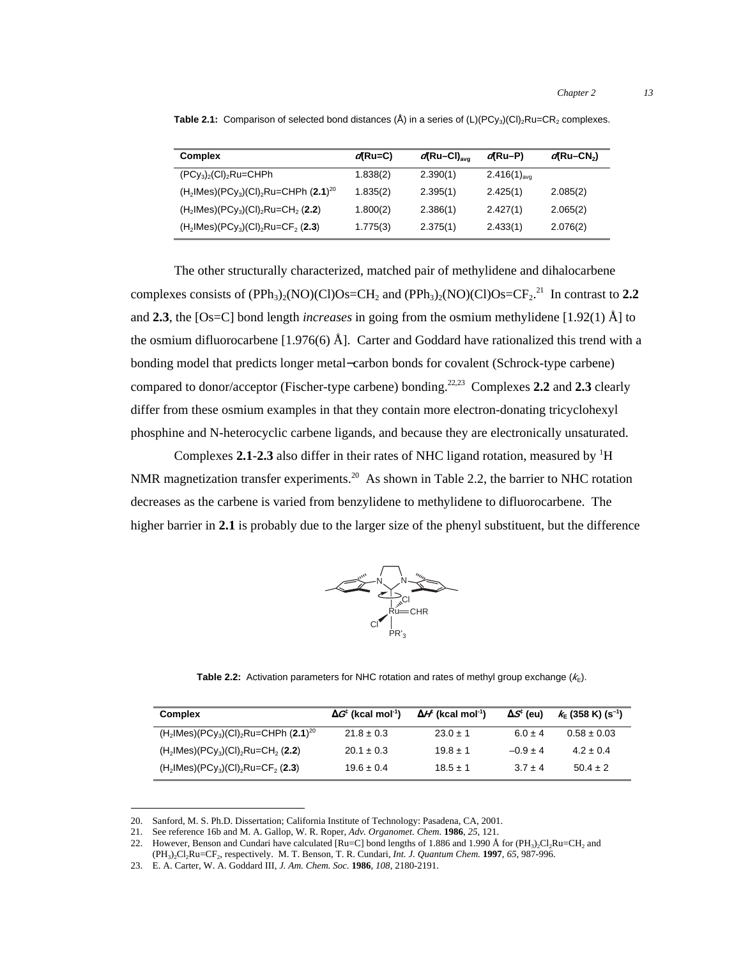| <b>Complex</b>                                        | $q$ (Ru=C) | $d$ Ru-CI) <sub>avo</sub> | d(Ru-P)                | $d$ Ru-CN <sub>2</sub> ) |
|-------------------------------------------------------|------------|---------------------------|------------------------|--------------------------|
| $(PCy_3)_2$ (CI) <sub>2</sub> Ru=CHPh                 | 1.838(2)   | 2.390(1)                  | $2.416(1)_{\text{av}}$ | __                       |
| $(H_2$ IMes $)(PCy_3)(Cl)_2$ Ru=CHPh $(2.1)^{20}$     | 1.835(2)   | 2.395(1)                  | 2.425(1)               | 2.085(2)                 |
| $(H_2$ IMes $)(PCy_3)(Cl)_2$ Ru=CH <sub>2</sub> (2.2) | 1.800(2)   | 2.386(1)                  | 2.427(1)               | 2.065(2)                 |
| $(H2$ IMes $)(PCy3)(Cl)2Ru=CF2(2.3)$                  | 1.775(3)   | 2.375(1)                  | 2.433(1)               | 2.076(2)                 |

**Table 2.1:** Comparison of selected bond distances  $(\hat{A})$  in a series of  $(L)(PC_{3})(Cl)$ <sub>2</sub>Ru=CR<sub>2</sub> complexes.

The other structurally characterized, matched pair of methylidene and dihalocarbene complexes consists of  $(PPh_3)_2(NO)(Cl)Os=CH_2$  and  $(PPh_3)_2(NO)(Cl)Os=CF_2$ .<sup>21</sup> In contrast to 2.2 and **2.3**, the [Os=C] bond length *increases* in going from the osmium methylidene [1.92(1) Å] to the osmium difluorocarbene [1.976(6) Å]. Carter and Goddard have rationalized this trend with a bonding model that predicts longer metal−carbon bonds for covalent (Schrock-type carbene) compared to donor/acceptor (Fischer-type carbene) bonding.<sup>22,23</sup> Complexes 2.2 and 2.3 clearly differ from these osmium examples in that they contain more electron-donating tricyclohexyl phosphine and N-heterocyclic carbene ligands, and because they are electronically unsaturated.

Complexes 2.1-2.3 also differ in their rates of NHC ligand rotation, measured by <sup>1</sup>H NMR magnetization transfer experiments.<sup>20</sup> As shown in Table 2.2, the barrier to NHC rotation decreases as the carbene is varied from benzylidene to methylidene to difluorocarbene. The higher barrier in **2.1** is probably due to the larger size of the phenyl substituent, but the difference



**Table 2.2:** Activation parameters for NHC rotation and rates of methyl group exchange  $(k_1)$ .

| <b>Complex</b>                                                               | $\Delta G$ (kcal mol <sup>-1</sup> ) | $\Delta H$ (kcal mol <sup>-1</sup> ) | $\Delta S^{\ddagger}$ (eu) | $k = (358 \text{ K}) (s^{-1})$ |
|------------------------------------------------------------------------------|--------------------------------------|--------------------------------------|----------------------------|--------------------------------|
| $(H_2$ IMes)(PCy <sub>3</sub> )(CI) <sub>2</sub> Ru=CHPh (2.1) <sup>20</sup> | $21.8 \pm 0.3$                       | $23.0 \pm 1$                         | $6.0 \pm 4$                | $0.58 \pm 0.03$                |
| $(H2$ IMes $)(PC_{V3})(Cl)2Ru=CH2(2.2)$                                      | $20.1 \pm 0.3$                       | $19.8 \pm 1$                         | $-0.9 + 4$                 | $4.2 + 0.4$                    |
| $(H2$ IMes $)(PCy3)(Cl)2Ru=CF2(2.3)$                                         | $19.6 \pm 0.4$                       | $18.5 \pm 1$                         | $3.7 + 4$                  | $50.4 + 2$                     |

 <sup>20.</sup> Sanford, M. S. Ph.D. Dissertation; California Institute of Technology: Pasadena, CA, 2001.

<sup>21.</sup> See reference 16b and M. A. Gallop, W. R. Roper, *Adv. Organomet. Chem.* **1986**, *25*, 121.

<sup>22.</sup> However, Benson and Cundari have calculated  $\text{[Ru=C]}$  bond lengths of 1.886 and 1.990 Å for  $(\text{PH}_3)$ Cl<sub>2</sub>Ru=CH<sub>2</sub> and (PH3)2Cl2Ru=CF2, respectively. M. T. Benson, T. R. Cundari, *Int. J. Quantum Chem.* **1997**, *65*, 987-996.

<sup>23.</sup> E. A. Carter, W. A. Goddard III, *J. Am. Chem. Soc.* **1986**, *108*, 2180-2191.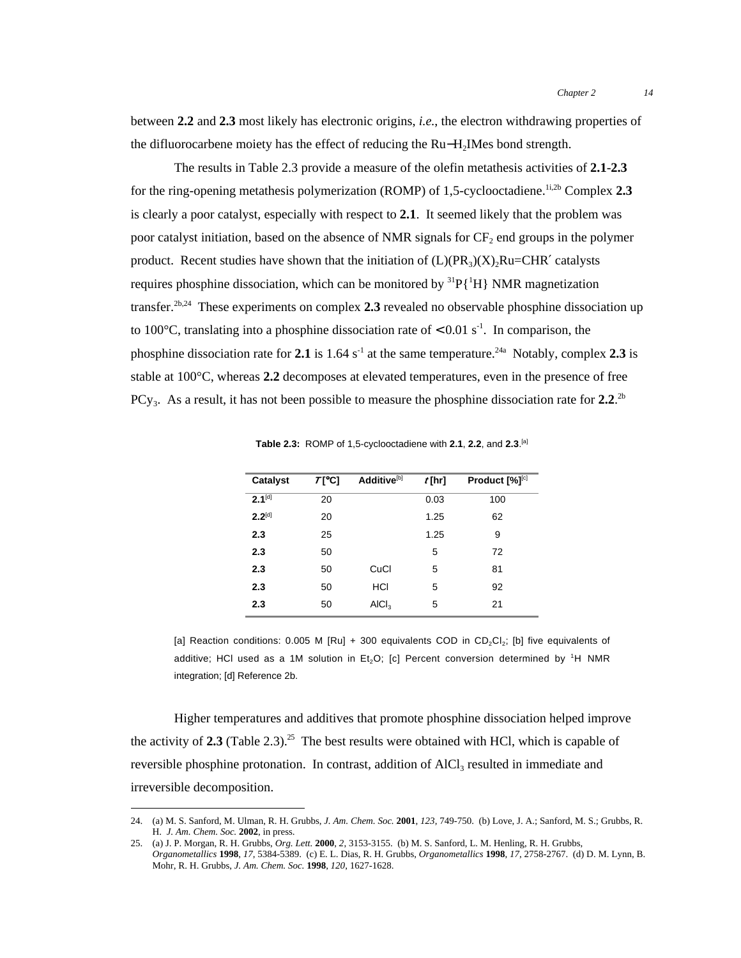between **2.2** and **2.3** most likely has electronic origins, *i.e.*, the electron withdrawing properties of the difluorocarbene moiety has the effect of reducing the Ru−H2IMes bond strength.

The results in Table 2.3 provide a measure of the olefin metathesis activities of **2.1**-**2.3** for the ring-opening metathesis polymerization (ROMP) of 1,5-cyclooctadiene.<sup>1i,2b</sup> Complex 2.3 is clearly a poor catalyst, especially with respect to **2.1**. It seemed likely that the problem was poor catalyst initiation, based on the absence of NMR signals for  $CF<sub>2</sub>$  end groups in the polymer product. Recent studies have shown that the initiation of  $(L)(PR_3)(X), Ru=CHR'$  catalysts requires phosphine dissociation, which can be monitored by  ${}^{31}P\{{}^{1}H\}$  NMR magnetization transfer.2b,24 These experiments on complex **2.3** revealed no observable phosphine dissociation up to 100 $^{\circ}$ C, translating into a phosphine dissociation rate of  $< 0.01$  s<sup>-1</sup>. In comparison, the phosphine dissociation rate for 2.1 is 1.64 s<sup>-1</sup> at the same temperature.<sup>24a</sup> Notably, complex 2.3 is stable at 100°C, whereas **2.2** decomposes at elevated temperatures, even in the presence of free PCy<sub>3</sub>. As a result, it has not been possible to measure the phosphine dissociation rate for  $2.2$ .<sup>2b</sup>

| Catalyst    | <b>T</b> [°C] | Additive <sup>[b]</sup> | $t$ [hr] | Product $[\%]^{[c]}$ |
|-------------|---------------|-------------------------|----------|----------------------|
| $2.1^{[d]}$ | 20            |                         | 0.03     | 100                  |
| $2.2^{[d]}$ | 20            |                         | 1.25     | 62                   |
| 2.3         | 25            |                         | 1.25     | 9                    |
| 2.3         | 50            |                         | 5        | 72                   |
| 2.3         | 50            | CuCl                    | 5        | 81                   |
| 2.3         | 50            | HCI                     | 5        | 92                   |
| 2.3         | 50            | AICI <sub>3</sub>       | 5        | 21                   |
|             |               |                         |          |                      |

**Table 2.3:** ROMP of 1,5-cyclooctadiene with **2.1**, **2.2**, and **2.3**. [a]

[a] Reaction conditions: 0.005 M [Ru] + 300 equivalents COD in CD<sub>2</sub>Cl<sub>2</sub>; [b] five equivalents of additive; HCI used as a 1M solution in Et<sub>2</sub>O; [c] Percent conversion determined by <sup>1</sup>H NMR integration; [d] Reference 2b.

Higher temperatures and additives that promote phosphine dissociation helped improve the activity of  $2.3$  (Table  $2.3$ ).<sup>25</sup> The best results were obtained with HCl, which is capable of reversible phosphine protonation. In contrast, addition of  $AICI<sub>3</sub>$  resulted in immediate and irreversible decomposition.

 <sup>24.</sup> (a) M. S. Sanford, M. Ulman, R. H. Grubbs, *J. Am. Chem. Soc.* **<sup>2001</sup>**, *123*, 749-750. (b) Love, J. A.; Sanford, M. S.; Grubbs, R. H. *J. Am. Chem. Soc.* **2002**, in press.

<sup>25.</sup> (a) J. P. Morgan, R. H. Grubbs, *Org. Lett.* **2000**, *2*, 3153-3155. (b) M. S. Sanford, L. M. Henling, R. H. Grubbs, *Organometallics* **1998**, *17*, 5384-5389. (c) E. L. Dias, R. H. Grubbs, *Organometallics* **1998**, *17*, 2758-2767. (d) D. M. Lynn, B. Mohr, R. H. Grubbs, *J. Am. Chem. Soc.* **1998**, *120*, 1627-1628.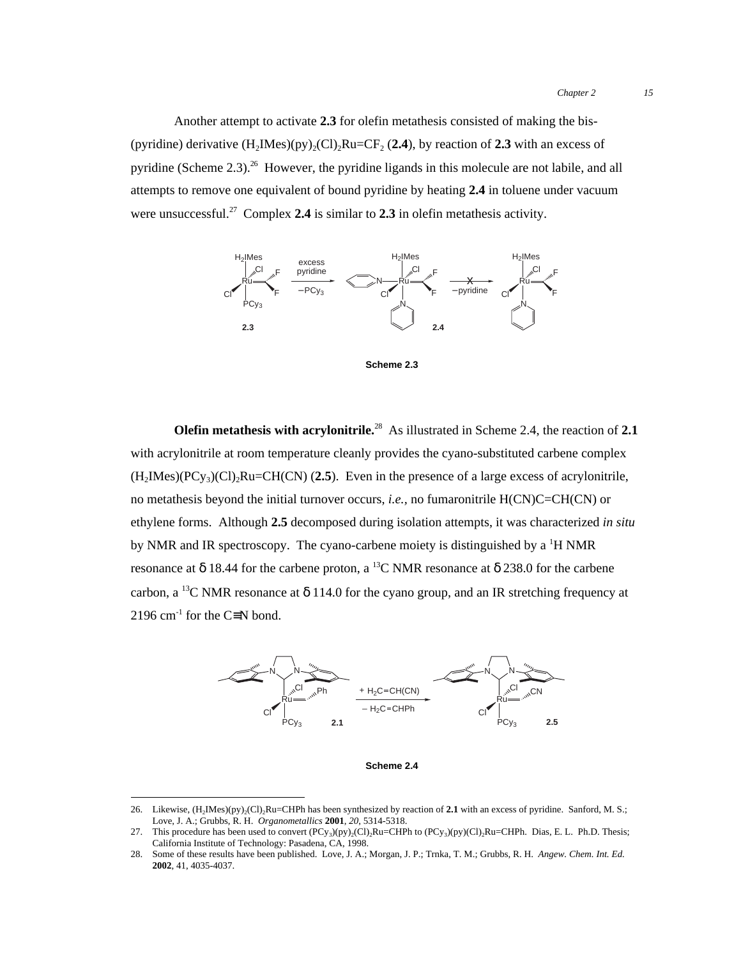Another attempt to activate **2.3** for olefin metathesis consisted of making the bis- (pyridine) derivative  $(H_2Mes)(py)_2(Cl)_2Ru=CF_2 (2.4)$ , by reaction of 2.3 with an excess of pyridine (Scheme  $2.3$ )<sup>26</sup> However, the pyridine ligands in this molecule are not labile, and all attempts to remove one equivalent of bound pyridine by heating **2.4** in toluene under vacuum were unsuccessful.<sup>27</sup> Complex **2.4** is similar to **2.3** in olefin metathesis activity.



**Scheme 2.3**

**Olefin metathesis with acrylonitrile.**28 As illustrated in Scheme 2.4, the reaction of **2.1** with acrylonitrile at room temperature cleanly provides the cyano-substituted carbene complex  $(H<sub>2</sub>IMes)(PCy<sub>3</sub>)(Cl)<sub>2</sub>Ru=CH(CN)$  (2.5). Even in the presence of a large excess of acrylonitrile, no metathesis beyond the initial turnover occurs, *i.e.,* no fumaronitrile H(CN)C=CH(CN) or ethylene forms. Although **2.5** decomposed during isolation attempts, it was characterized *in situ* by NMR and IR spectroscopy. The cyano-carbene moiety is distinguished by a <sup>1</sup>H NMR resonance at  $\delta$  18.44 for the carbene proton, a <sup>13</sup>C NMR resonance at  $\delta$  238.0 for the carbene carbon, a <sup>13</sup>C NMR resonance at  $\delta$  114.0 for the cyano group, and an IR stretching frequency at 2196 cm<sup>-1</sup> for the C≡N bond.



**Scheme 2.4**

<sup>26.</sup> Likewise,  $(H_2IMes)(py)_2(Cl)_2Ru=CHPh$  has been synthesized by reaction of 2.1 with an excess of pyridine. Sanford, M. S.; Love, J. A.; Grubbs, R. H. *Organometallics* **2001**, *20*, 5314-5318.

<sup>27.</sup> This procedure has been used to convert  $(PCy<sub>3</sub>)(py)<sub>2</sub>(Cl)<sub>2</sub>Ru=CHPh to (PCy<sub>3</sub>)(py)(Cl)<sub>2</sub>Ru=CHPh. Dias, E. L. Ph.D. Thesis;$ California Institute of Technology: Pasadena, CA, 1998.

<sup>28.</sup> Some of these results have been published. Love, J. A.; Morgan, J. P.; Trnka, T. M.; Grubbs, R. H. *Angew. Chem. Int. Ed.* **2002**, 41, 4035-4037.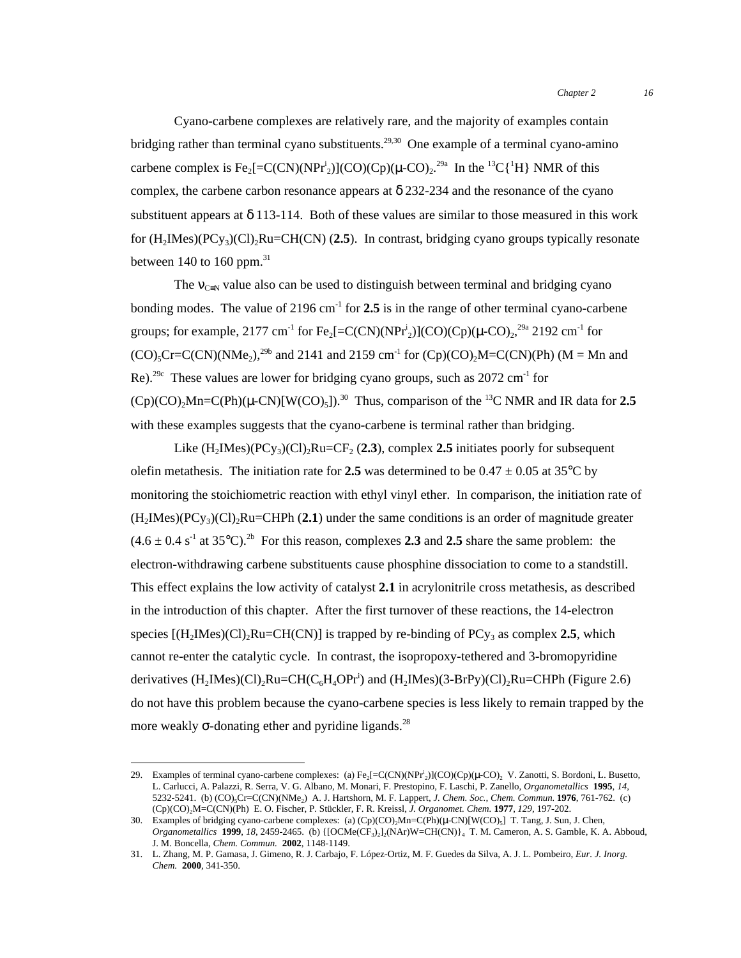Cyano-carbene complexes are relatively rare, and the majority of examples contain bridging rather than terminal cyano substituents.<sup>29,30</sup> One example of a terminal cyano-amino carbene complex is Fe<sub>2</sub>[=C(CN)(NPr<sup>i</sup><sub>2</sub>)](CO)(Cp)( $\mu$ -CO)<sub>2</sub><sup>29a</sup> In the <sup>13</sup>C{<sup>1</sup>H} NMR of this complex, the carbene carbon resonance appears at  $\delta$  232-234 and the resonance of the cyano substituent appears at  $\delta$  113-114. Both of these values are similar to those measured in this work for (H2IMes)(PCy3)(Cl)2Ru=CH(CN) (**2.5**). In contrast, bridging cyano groups typically resonate between 140 to 160 ppm. $31$ 

The  $v_{C=N}$  value also can be used to distinguish between terminal and bridging cyano bonding modes. The value of  $2196 \text{ cm}^{-1}$  for  $2.5$  is in the range of other terminal cyano-carbene groups; for example, 2177 cm<sup>-1</sup> for Fe<sub>2</sub>[=C(CN)(NPr<sup>i</sup><sub>2</sub>)](CO)(Cp)( $\mu$ -CO)<sub>2</sub>,<sup>29a</sup> 2192 cm<sup>-1</sup> for  $(CO)_{5}Cr=C(CN)(NMe_{2})$ <sup>29b</sup> and 2141 and 2159 cm<sup>-1</sup> for  $(Cp)(CO)_{2}M=C(CN)(Ph)$  (M = Mn and Re).<sup>29c</sup> These values are lower for bridging cyano groups, such as  $2072 \text{ cm}^{-1}$  for  $(Cp)(CO)_{2}Mn=C(Ph)(\mu-CN)[W(CO)_{5}])$ <sup>30</sup> Thus, comparison of the <sup>13</sup>C NMR and IR data for 2.5 with these examples suggests that the cyano-carbene is terminal rather than bridging.

Like  $(H_2Mes)(PCy_3)(Cl)_2Ru=CF_2 (2.3)$ , complex 2.5 initiates poorly for subsequent olefin metathesis. The initiation rate for 2.5 was determined to be  $0.47 \pm 0.05$  at 35°C by monitoring the stoichiometric reaction with ethyl vinyl ether. In comparison, the initiation rate of  $(H<sub>2</sub>Mes)(PCy<sub>3</sub>)(Cl)<sub>2</sub>Ru=CHPh (2.1)$  under the same conditions is an order of magnitude greater  $(4.6 \pm 0.4 \text{ s}^{-1} \text{ at } 35^{\circ}\text{C})$ .<sup>2b</sup> For this reason, complexes 2.3 and 2.5 share the same problem: the electron-withdrawing carbene substituents cause phosphine dissociation to come to a standstill. This effect explains the low activity of catalyst **2.1** in acrylonitrile cross metathesis, as described in the introduction of this chapter. After the first turnover of these reactions, the 14-electron species  $[(H_2IMe)C]_2Ru=CH(CN)]$  is trapped by re-binding of PC<sub>V3</sub> as complex 2.5, which cannot re-enter the catalytic cycle. In contrast, the isopropoxy-tethered and 3-bromopyridine derivatives  $(H_2$ IMes $)(Cl)_2$ Ru=CH $(C_6H_4$ OPr<sup>i</sup>) and  $(H_2$ IMes $)(3-BrPy)(Cl)_2$ Ru=CHPh (Figure 2.6) do not have this problem because the cyano-carbene species is less likely to remain trapped by the more weakly  $\sigma$ -donating ether and pyridine ligands.<sup>28</sup>

<sup>29.</sup> Examples of terminal cyano-carbene complexes: (a)  $Fe_2[=C(CN)(NPr_2)](CO)(Cp)(\mu\text{-}CO)_2$  V. Zanotti, S. Bordoni, L. Busetto, L. Carlucci, A. Palazzi, R. Serra, V. G. Albano, M. Monari, F. Prestopino, F. Laschi, P. Zanello, *Organometallics* **1995**, *14*, 5232-5241. (b) (CO)5Cr=C(CN)(NMe2) A. J. Hartshorn, M. F. Lappert, *J. Chem. Soc., Chem. Commun.* **1976**, 761-762. (c) (Cp)(CO)2M=C(CN)(Ph) E. O. Fischer, P. Stückler, F. R. Kreissl, *J. Organomet. Chem.* **1977**, *129*, 197-202.

<sup>30.</sup> Examples of bridging cyano-carbene complexes: (a)  $(Cp)(CO)_2Mn=C(Ph)(\mu-CN)[W(CO)_5]$  T. Tang, J. Sun, J. Chen, *Organometallics* **1999**, *18*, 2459-2465. (b) {[OCMe(CF3)2]2(NAr)W=CH(CN)}4 T. M. Cameron, A. S. Gamble, K. A. Abboud, J. M. Boncella, *Chem. Commun.* **2002**, 1148-1149.

<sup>31.</sup> L. Zhang, M. P. Gamasa, J. Gimeno, R. J. Carbajo, F. López-Ortiz, M. F. Guedes da Silva, A. J. L. Pombeiro, *Eur. J. Inorg. Chem.* **2000**, 341-350.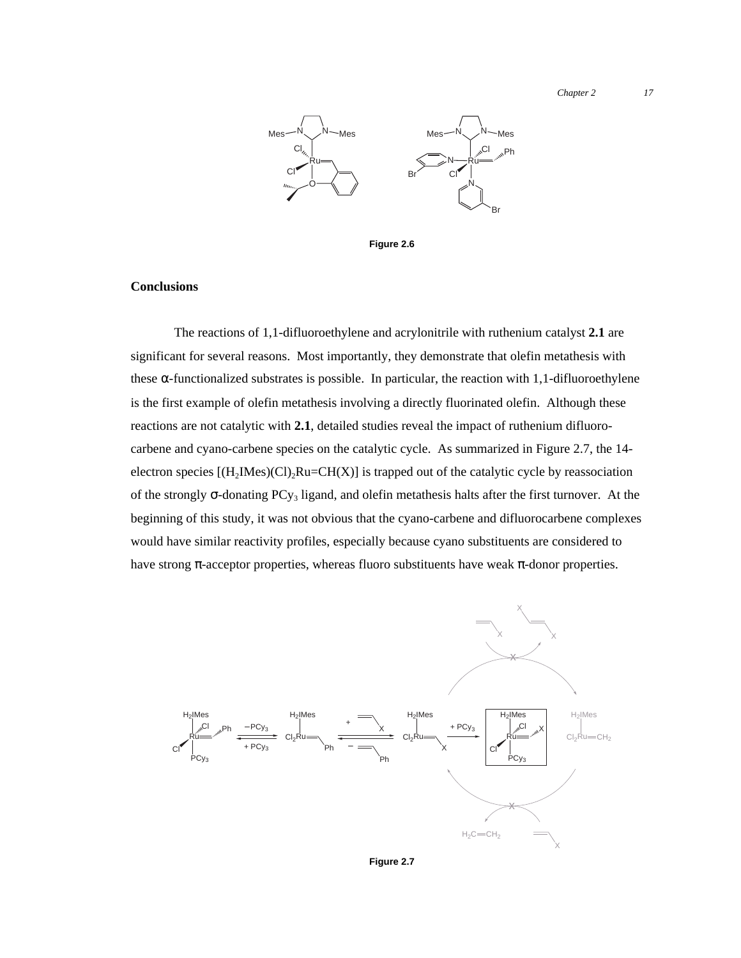*Chapter 2 17*



**Figure 2.6**

## **Conclusions**

The reactions of 1,1-difluoroethylene and acrylonitrile with ruthenium catalyst **2.1** are significant for several reasons. Most importantly, they demonstrate that olefin metathesis with these  $\alpha$ -functionalized substrates is possible. In particular, the reaction with 1,1-difluoroethylene is the first example of olefin metathesis involving a directly fluorinated olefin. Although these reactions are not catalytic with **2.1**, detailed studies reveal the impact of ruthenium difluorocarbene and cyano-carbene species on the catalytic cycle. As summarized in Figure 2.7, the 14 electron species  $[(H_2Mes)(Cl)_2Ru=CH(X)]$  is trapped out of the catalytic cycle by reassociation of the strongly  $\sigma$ -donating PCy<sub>3</sub> ligand, and olefin metathesis halts after the first turnover. At the beginning of this study, it was not obvious that the cyano-carbene and difluorocarbene complexes would have similar reactivity profiles, especially because cyano substituents are considered to have strong π-acceptor properties, whereas fluoro substituents have weak π-donor properties.



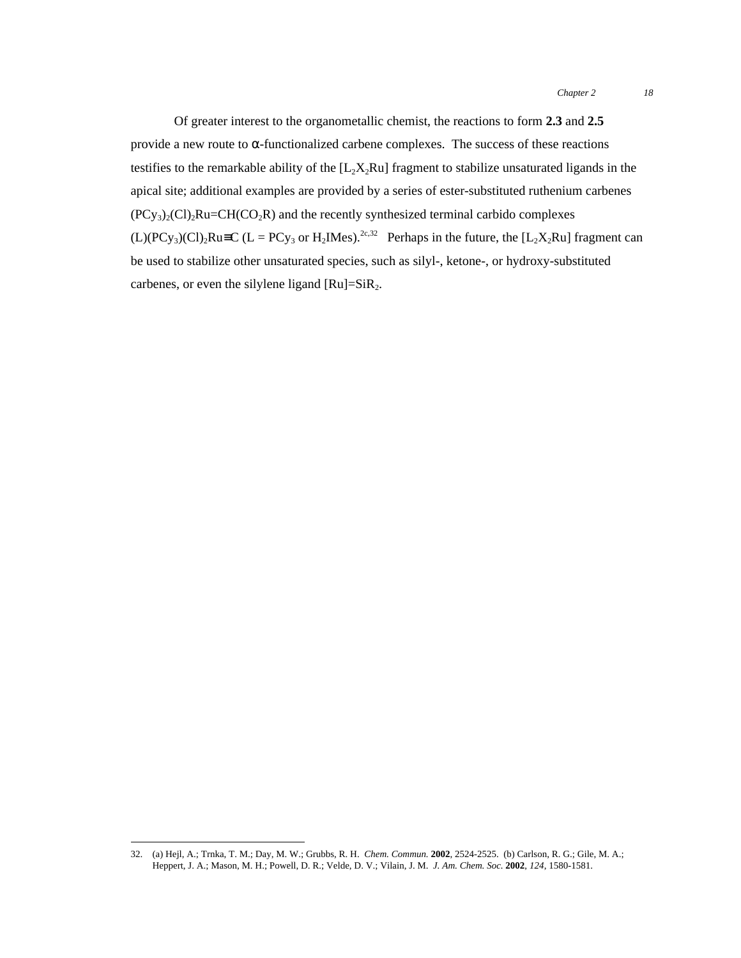Of greater interest to the organometallic chemist, the reactions to form **2.3** and **2.5** provide a new route to α-functionalized carbene complexes. The success of these reactions testifies to the remarkable ability of the  $[L_2X_2Ru]$  fragment to stabilize unsaturated ligands in the apical site; additional examples are provided by a series of ester-substituted ruthenium carbenes  $(PCy_3)_2$ (Cl)<sub>2</sub>Ru=CH(CO<sub>2</sub>R) and the recently synthesized terminal carbido complexes  $(L)(PCy_3)(Cl)_2Ru \equiv C (L = PCy_3 \text{ or } H_2IMes).^{2c,32}$  Perhaps in the future, the  $[L_2X_2Ru]$  fragment can be used to stabilize other unsaturated species, such as silyl-, ketone-, or hydroxy-substituted carbenes, or even the silylene ligand  $[Ru]=SiR<sub>2</sub>$ .

 <sup>32.</sup> (a) Hejl, A.; Trnka, T. M.; Day, M. W.; Grubbs, R. H. *Chem. Commun.* **<sup>2002</sup>**, 2524-2525. (b) Carlson, R. G.; Gile, M. A.; Heppert, J. A.; Mason, M. H.; Powell, D. R.; Velde, D. V.; Vilain, J. M. *J. Am. Chem. Soc.* **2002**, *124*, 1580-1581.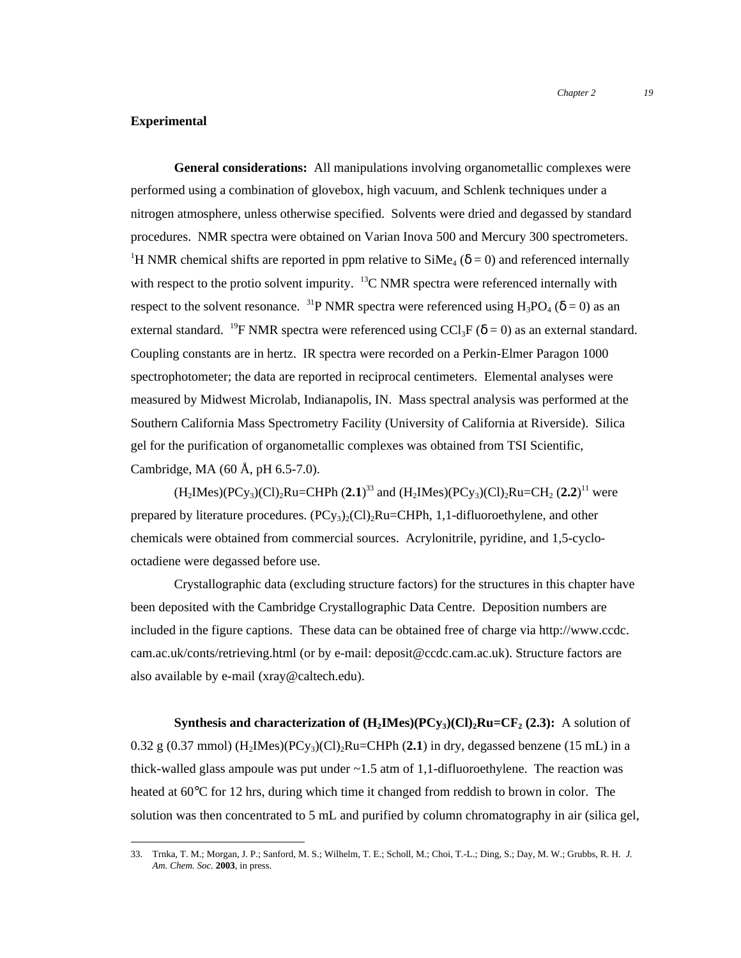#### **Experimental**

**General considerations:** All manipulations involving organometallic complexes were performed using a combination of glovebox, high vacuum, and Schlenk techniques under a nitrogen atmosphere, unless otherwise specified. Solvents were dried and degassed by standard procedures. NMR spectra were obtained on Varian Inova 500 and Mercury 300 spectrometers. <sup>1</sup>H NMR chemical shifts are reported in ppm relative to  $\text{SiMe}_4$  ( $\delta$  = 0) and referenced internally with respect to the protio solvent impurity.  $^{13}$ C NMR spectra were referenced internally with respect to the solvent resonance. <sup>31</sup>P NMR spectra were referenced using  $H_3PO_4$  ( $\delta = 0$ ) as an external standard. <sup>19</sup>F NMR spectra were referenced using CCl<sub>3</sub>F ( $\delta$  = 0) as an external standard. Coupling constants are in hertz. IR spectra were recorded on a Perkin-Elmer Paragon 1000 spectrophotometer; the data are reported in reciprocal centimeters. Elemental analyses were measured by Midwest Microlab, Indianapolis, IN. Mass spectral analysis was performed at the Southern California Mass Spectrometry Facility (University of California at Riverside). Silica gel for the purification of organometallic complexes was obtained from TSI Scientific, Cambridge, MA (60 Å, pH 6.5-7.0).

 $(H_2Mes)(PCy_3)(Cl)_2Ru=CHPh (2.1)^{33}$  and  $(H_2Mes)(PCy_3)(Cl)_2Ru=CH_2 (2.2)^{11}$  were prepared by literature procedures.  $(PCy_3)_2(Cl)_2Ru=CHPh$ , 1,1-difluoroethylene, and other chemicals were obtained from commercial sources. Acrylonitrile, pyridine, and 1,5-cyclooctadiene were degassed before use.

Crystallographic data (excluding structure factors) for the structures in this chapter have been deposited with the Cambridge Crystallographic Data Centre. Deposition numbers are included in the figure captions. These data can be obtained free of charge via http://www.ccdc. cam.ac.uk/conts/retrieving.html (or by e-mail: deposit@ccdc.cam.ac.uk). Structure factors are also available by e-mail (xray@caltech.edu).

**Synthesis and characterization of**  $(H_2Mes)(PCy_3)(Cl)_2Ru=CF_2 (2.3):$  **A solution of** 0.32 g (0.37 mmol) (H<sub>2</sub>IMes)(PCy<sub>3</sub>)(Cl)<sub>2</sub>Ru=CHPh (2.1) in dry, degassed benzene (15 mL) in a thick-walled glass ampoule was put under  $\sim$  1.5 atm of 1,1-difluoroethylene. The reaction was heated at 60°C for 12 hrs, during which time it changed from reddish to brown in color. The solution was then concentrated to 5 mL and purified by column chromatography in air (silica gel,

 <sup>33.</sup> Trnka, T. M.; Morgan, J. P.; Sanford, M. S.; Wilhelm, T. E.; Scholl, M.; Choi, T.-L.; Ding, S.; Day, M. W.; Grubbs, R. H. *J. Am. Chem. Soc.* **2003**, in press.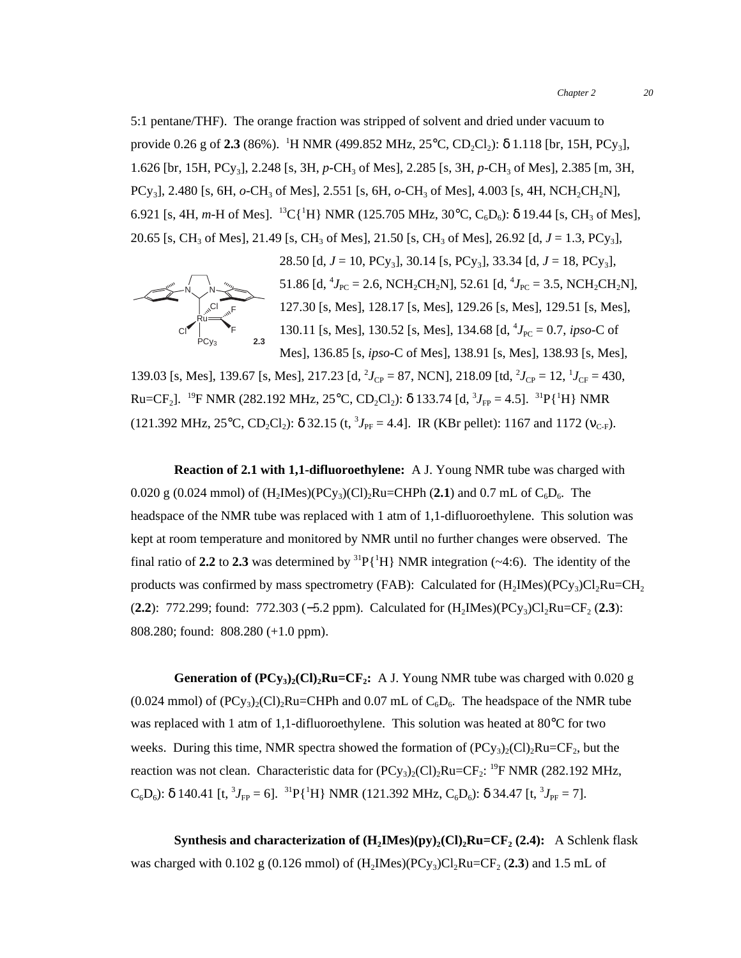5:1 pentane/THF). The orange fraction was stripped of solvent and dried under vacuum to provide  $0.26$  g of  $2.3$  (86%).  $\,^1$ H NMR (499.852 MHz, 25°C, CD<sub>2</sub>Cl<sub>2</sub>):  $\delta$  1.118 [br, 15H, PCy<sub>3</sub>], 1.626 [br, 15H, PCy<sub>3</sub>], 2.248 [s, 3H, *p*-CH<sub>3</sub> of Mes], 2.285 [s, 3H, *p*-CH<sub>3</sub> of Mes], 2.385 [m, 3H, PCy3], 2.480 [s, 6H, *o*-CH3 of Mes], 2.551 [s, 6H, *o*-CH3 of Mes], 4.003 [s, 4H, NCH2CH2N], 6.921 [s, 4H, *m*-H of Mes]. <sup>13</sup>C{<sup>1</sup>H} NMR (125.705 MHz, 30°C, C<sub>6</sub>D<sub>6</sub>):  $\delta$  19.44 [s, CH<sub>3</sub> of Mes], 20.65 [s, CH<sub>3</sub> of Mes], 21.49 [s, CH<sub>3</sub> of Mes], 21.50 [s, CH<sub>3</sub> of Mes], 26.92 [d,  $J = 1.3$ , PCy<sub>3</sub>],



28.50 [d,  $J = 10$ ,  $PCy_3$ ], 30.14 [s,  $PCy_3$ ], 33.34 [d,  $J = 18$ ,  $PCy_3$ ], 51.86 [d, <sup>4</sup> $J_{\text{PC}}$  = 2.6, NCH<sub>2</sub>CH<sub>2</sub>N], 52.61 [d, <sup>4</sup> $J_{\text{PC}}$  = 3.5, NCH<sub>2</sub>CH<sub>2</sub>N], 127.30 [s, Mes], 128.17 [s, Mes], 129.26 [s, Mes], 129.51 [s, Mes], 130.11 [s, Mes], 130.52 [s, Mes], 134.68 [d, <sup>4</sup>J<sub>PC</sub> = 0.7, *ipso*-C of Mes], 136.85 [s, *ipso*-C of Mes], 138.91 [s, Mes], 138.93 [s, Mes],

139.03 [s, Mes], 139.67 [s, Mes], 217.23 [d,  $^2J_{CP} = 87$ , NCN], 218.09 [td,  $^2J_{CP} = 12$ ,  $^1J_{CF} = 430$ ,  $Ru=CF_2$ ]. <sup>19</sup>F NMR (282.192 MHz, 25°C, CD<sub>2</sub>Cl<sub>2</sub>): δ 133.74 [d, <sup>3</sup>J<sub>FP</sub> = 4.5]. <sup>31</sup>P{<sup>1</sup>H} NMR (121.392 MHz, 25°C, CD<sub>2</sub>Cl<sub>2</sub>):  $\delta$  32.15 (t, <sup>3</sup> $J_{PF}$  = 4.4]. IR (KBr pellet): 1167 and 1172 ( $v_{C-F}$ ).

**Reaction of 2.1 with 1,1-difluoroethylene:** A J. Young NMR tube was charged with 0.020 g (0.024 mmol) of  $(H_2Mes)(PCy_3)(Cl)_2Ru=CHPh (2.1)$  and 0.7 mL of  $C_6D_6$ . The headspace of the NMR tube was replaced with 1 atm of 1,1-difluoroethylene. This solution was kept at room temperature and monitored by NMR until no further changes were observed. The final ratio of 2.2 to 2.3 was determined by  ${}^{31}P[{^1}H]$  NMR integration ( $\sim$ 4:6). The identity of the products was confirmed by mass spectrometry (FAB): Calculated for  $(H_2$ IMes)(PCy<sub>3</sub>)Cl<sub>2</sub>Ru=CH<sub>2</sub> (**2.2**): 772.299; found: 772.303 (−5.2 ppm). Calculated for (H<sub>2</sub>IMes)(PCy<sub>3</sub>)Cl<sub>2</sub>Ru=CF<sub>2</sub> (**2.3**): 808.280; found: 808.280 (+1.0 ppm).

**Generation of**  $(PCy_3)_2(Cl)_2Ru=CF_2$ **:** A J. Young NMR tube was charged with 0.020 g  $(0.024 \text{ mmol})$  of  $(PCy_3)_{2}(Cl)_{2}Ru=CHPh$  and  $(0.07 \text{ mL of } C_6D_6$ . The headspace of the NMR tube was replaced with 1 atm of 1,1-difluoroethylene. This solution was heated at 80°C for two weeks. During this time, NMR spectra showed the formation of  $(PC_{y3})_2(C_1)$ , Ru=CF<sub>2</sub>, but the reaction was not clean. Characteristic data for  $(PCy_3)_2(Cl)_2Ru=CF_2$ : <sup>19</sup>F NMR (282.192 MHz,  $C_6D_6$ : δ 140.41 [t, <sup>3</sup> $J_{\text{FP}} = 6$ ]. <sup>31</sup>P{<sup>1</sup>H} NMR (121.392 MHz,  $C_6D_6$ ): δ 34.47 [t, <sup>3</sup> $J_{\text{PF}} = 7$ ].

**Synthesis and characterization of**  $(H_2Mes)(py)(Cl)$ **,**  $Ru=CF_2 (2.4)$ **:** A Schlenk flask was charged with  $0.102$  g (0.126 mmol) of  $(H_2Mes)(PCy_3)Cl_2Ru=CF_2$  (2.3) and 1.5 mL of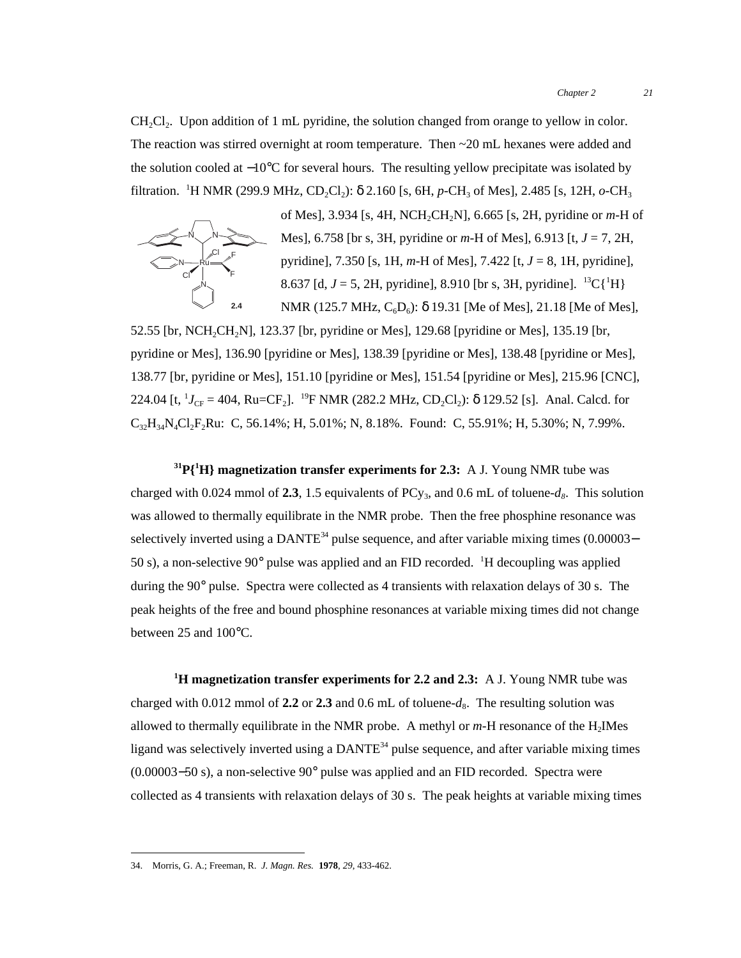CH<sub>2</sub>Cl<sub>2</sub>. Upon addition of 1 mL pyridine, the solution changed from orange to yellow in color. The reaction was stirred overnight at room temperature. Then ~20 mL hexanes were added and the solution cooled at −10°C for several hours. The resulting yellow precipitate was isolated by filtration. <sup>1</sup>H NMR (299.9 MHz, CD<sub>2</sub>Cl<sub>2</sub>): δ 2.160 [s, 6H, *p*-CH<sub>3</sub> of Mes], 2.485 [s, 12H, *o*-CH<sub>3</sub>



of Mes], 3.934 [s, 4H, NCH2CH2N], 6.665 [s, 2H, pyridine or *m*-H of Mes], 6.758 [br s, 3H, pyridine or *m*-H of Mes], 6.913 [t, *J* = 7, 2H, pyridine], 7.350 [s, 1H, *m*-H of Mes], 7.422 [t, *J* = 8, 1H, pyridine], 8.637 [d,  $J = 5$ , 2H, pyridine], 8.910 [br s, 3H, pyridine]. <sup>13</sup>C{<sup>1</sup>H} NMR (125.7 MHz,  $C_6D_6$ ):  $\delta$  19.31 [Me of Mes], 21.18 [Me of Mes],

52.55 [br, NCH<sub>2</sub>CH<sub>2</sub>N], 123.37 [br, pyridine or Mes], 129.68 [pyridine or Mes], 135.19 [br, pyridine or Mes], 136.90 [pyridine or Mes], 138.39 [pyridine or Mes], 138.48 [pyridine or Mes], 138.77 [br, pyridine or Mes], 151.10 [pyridine or Mes], 151.54 [pyridine or Mes], 215.96 [CNC], 224.04 [t,  ${}^{1}J_{CF} = 404$ , Ru=CF<sub>2</sub>]. <sup>19</sup>F NMR (282.2 MHz, CD<sub>2</sub>Cl<sub>2</sub>):  $\delta$  129.52 [s]. Anal. Calcd. for  $C_{32}H_{34}N_{4}Cl_{2}F_{2}Ru$ : C, 56.14%; H, 5.01%; N, 8.18%. Found: C, 55.91%; H, 5.30%; N, 7.99%.

**31P{1 H} magnetization transfer experiments for 2.3:** A J. Young NMR tube was charged with 0.024 mmol of **2.3**, 1.5 equivalents of PCy<sub>3</sub>, and 0.6 mL of toluene- $d_8$ . This solution was allowed to thermally equilibrate in the NMR probe. Then the free phosphine resonance was selectively inverted using a DANTE<sup>34</sup> pulse sequence, and after variable mixing times (0.00003– 50 s), a non-selective 90° pulse was applied and an FID recorded. <sup>1</sup>H decoupling was applied during the 90° pulse. Spectra were collected as 4 transients with relaxation delays of 30 s. The peak heights of the free and bound phosphine resonances at variable mixing times did not change between 25 and 100°C.

**1 H magnetization transfer experiments for 2.2 and 2.3:** A J. Young NMR tube was charged with 0.012 mmol of 2.2 or 2.3 and 0.6 mL of toluene- $d_8$ . The resulting solution was allowed to thermally equilibrate in the NMR probe. A methyl or  $m$ -H resonance of the H<sub>2</sub>IMes ligand was selectively inverted using a  $DANTE<sup>34</sup>$  pulse sequence, and after variable mixing times (0.00003−50 s), a non-selective 90° pulse was applied and an FID recorded. Spectra were collected as 4 transients with relaxation delays of 30 s. The peak heights at variable mixing times

 <sup>34.</sup> Morris, G. A.; Freeman, R. *J. Magn. Res.* **<sup>1978</sup>**, *29*, 433-462.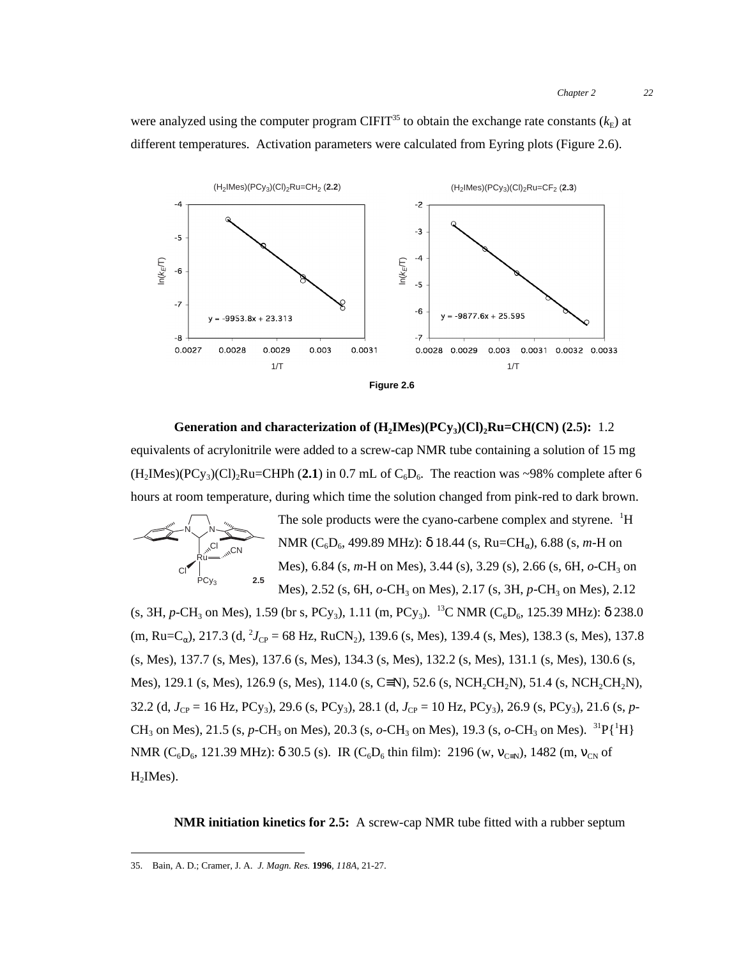were analyzed using the computer program CIFIT<sup>35</sup> to obtain the exchange rate constants  $(k<sub>E</sub>)$  at different temperatures. Activation parameters were calculated from Eyring plots (Figure 2.6).



**Generation and characterization of**  $(H_2Mes)(PCy_3)(Cl)_2Ru=CH(CN)$  **(2.5):** 1.2 equivalents of acrylonitrile were added to a screw-cap NMR tube containing a solution of 15 mg  $(H_2IMes)(PCy_3)(Cl)_2Ru=CHPh (2.1)$  in 0.7 mL of  $C_6D_6$ . The reaction was ~98% complete after 6 hours at room temperature, during which time the solution changed from pink-red to dark brown.



The sole products were the cyano-carbene complex and styrene. <sup>1</sup>H NMR (C<sub>6</sub>D<sub>6</sub>, 499.89 MHz): δ 18.44 (s, Ru=CH<sub>α</sub>), 6.88 (s, *m*-H on Mes), 6.84 (s, *m*-H on Mes), 3.44 (s), 3.29 (s), 2.66 (s, 6H, *o*-CH<sub>3</sub> on Mes), 2.52 (s, 6H,  $o$ -CH<sub>3</sub> on Mes), 2.17 (s, 3H,  $p$ -CH<sub>3</sub> on Mes), 2.12

(s, 3H, *p*-CH<sub>3</sub> on Mes), 1.59 (br s, PCy<sub>3</sub>), 1.11 (m, PCy<sub>3</sub>). <sup>13</sup>C NMR (C<sub>6</sub>D<sub>6</sub>, 125.39 MHz):  $\delta$  238.0 (m, Ru=C<sub>α</sub>), 217.3 (d, <sup>2</sup>J<sub>CP</sub> = 68 Hz, RuCN<sub>2</sub>), 139.6 (s, Mes), 139.4 (s, Mes), 138.3 (s, Mes), 137.8 (s, Mes), 137.7 (s, Mes), 137.6 (s, Mes), 134.3 (s, Mes), 132.2 (s, Mes), 131.1 (s, Mes), 130.6 (s, Mes), 129.1 (s, Mes), 126.9 (s, Mes), 114.0 (s, C $\equiv$ N), 52.6 (s, NCH<sub>2</sub>CH<sub>2</sub>N), 51.4 (s, NCH<sub>2</sub>CH<sub>2</sub>N), 32.2 (d,  $J_{CP} = 16$  Hz, PCy<sub>3</sub>), 29.6 (s, PCy<sub>3</sub>), 28.1 (d,  $J_{CP} = 10$  Hz, PCy<sub>3</sub>), 26.9 (s, PCy<sub>3</sub>), 21.6 (s, *p*-CH<sub>3</sub> on Mes), 21.5 (s, *p*-CH<sub>3</sub> on Mes), 20.3 (s, *o*-CH<sub>3</sub> on Mes), 19.3 (s, *o*-CH<sub>3</sub> on Mes). <sup>31</sup>P{<sup>1</sup>H} NMR ( $C_6D_6$ , 121.39 MHz):  $\delta$  30.5 (s). IR ( $C_6D_6$  thin film): 2196 (w,  $v_{C=N}$ ), 1482 (m,  $v_{CN}$  of  $H<sub>2</sub>$ IMes).

**NMR initiation kinetics for 2.5:** A screw-cap NMR tube fitted with a rubber septum

 <sup>35.</sup> Bain, A. D.; Cramer, J. A. *J. Magn. Res.* **<sup>1996</sup>**, *118A*, 21-27.